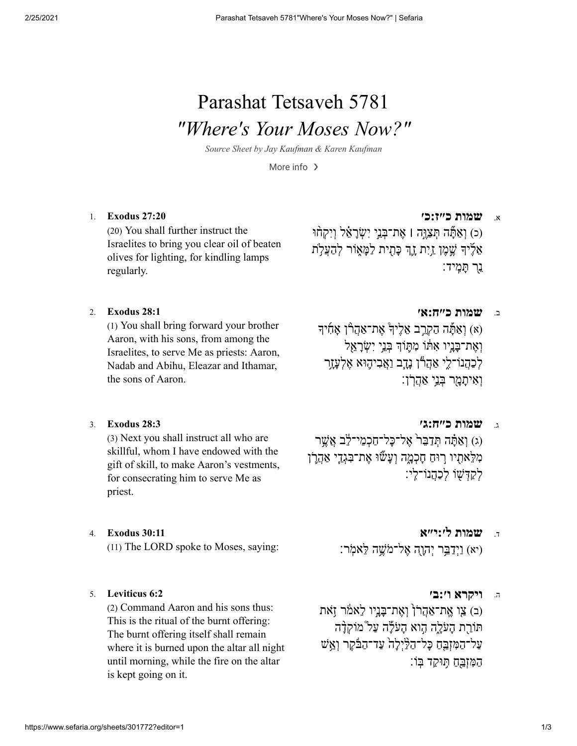# Parashat Tetsaveh 5781 *"Where's Your Moses Now?"*

*Source Sheet by Jay [Kaufman](https://www.sefaria.org/profile/jay-kaufman) & Karen Kaufman*

More info  $\rightarrow$ 

(20) You shall further instruct the Israelites to bring you clear oil of beaten olives for lighting, for kindling lamps regularly.

א. **שמות [כ״ז:כ׳](https://www.sefaria.org/Exodus.27.20) 27:20 [Exodus](https://www.sefaria.org/Exodus.27.20)** 1. (כ) וְאַתּּה תִּצַוֵּה | אֶת־בָּנֵי יְשָׂרַאֶ֫ל וְיִקְחוּ

אֶלֵידְ שֵׁמֵן ַזוָּת זֶהָ כַּתִית לַמַּאוֹר לְהַעֲלָת ֵ֖נר ָתִּֽמיד׃

(1) You shall bring forward your brother Aaron, with his sons, from among the Israelites, to serve Me as priests: Aaron, Nadab and Abihu, Eleazar and Ithamar, the sons of Aaron.

ב. **שמות [כ״ח:א׳](https://www.sefaria.org/Exodus.28.1) 28:1 [Exodus](https://www.sefaria.org/Exodus.28.1)** 2.

(א) וַאַתָּה הַקְרֵב אֵלֶיךָ אֶת־אַהֲרוֹ אָתִיך וְאֶת־כַּנֵיו אָתּוֹ מְתֵּוֹךְ בְּנֵי יִשְׂרַאֱל לְכַהֲנוֹ־לֵי אֲהָרוֹ נִדְב וַאֲבִיהֵוּא אֱלְעַזֶר וְאִיתַמַר בְּנֵי אַהֲרָ<del>ו</del>ָ:

(3) Next you shall instruct all who are skillful, whom I have endowed with the gift of skill, to make Aaron's vestments, for consecrating him to serve Me as priest.

(יא) נִיִדְבֵּר יְהוָה אֱל־מֹשֶׁה לָאמֹר: (11) The LORD spoke to Moses, saying:

### ה. **[ויקרא](https://www.sefaria.org/Leviticus.6.2) ו׳:ב׳ 6:2 [Leviticus](https://www.sefaria.org/Leviticus.6.2)** 5.

(2) Command Aaron and his sons thus: This is the ritual of the burnt offering: The burnt offering itself shall remain where it is burned upon the altar all night until morning, while the fire on the altar is kept going on it.

ג. **שמות [כ״ח:ג׳](https://www.sefaria.org/Exodus.28.3) 28:3 [Exodus](https://www.sefaria.org/Exodus.28.3)** 3.

(ג) וְאֵתּה תִּדַבֵּר אֱל־כּל־חֲכָמֵי־לֶב אֲשֶׁר מִלֵּאתִיו רוּחַ חַכְמֵה וְעַשׁוּ אֵת־בִּגְדֵי אַהֲרֹן לִקְדָּשׁוֹ לִכְהָנוֹ־לִי:

ד. **שמות [ל׳:י״א](https://www.sefaria.org/Exodus.30.11) 30:11 [Exodus](https://www.sefaria.org/Exodus.30.11)** 4.

(ב) צו אֱת־אַהֲרֹן וְאֶת־בֲּנֵיו לְאמֹר וָאֹת תּוֹרֵת העֹלה הֵוֹא העֹלה עַל מוֹקָדה על־הַמִּזְבֵּחַ כַּל־הַלַּיִלַה<sup>ְ</sup> עַד־הַבֿֿקֵר וְאֵשׁ ַהַמְּזֶבֵּחַ תִּוּקַד בְּוֹ: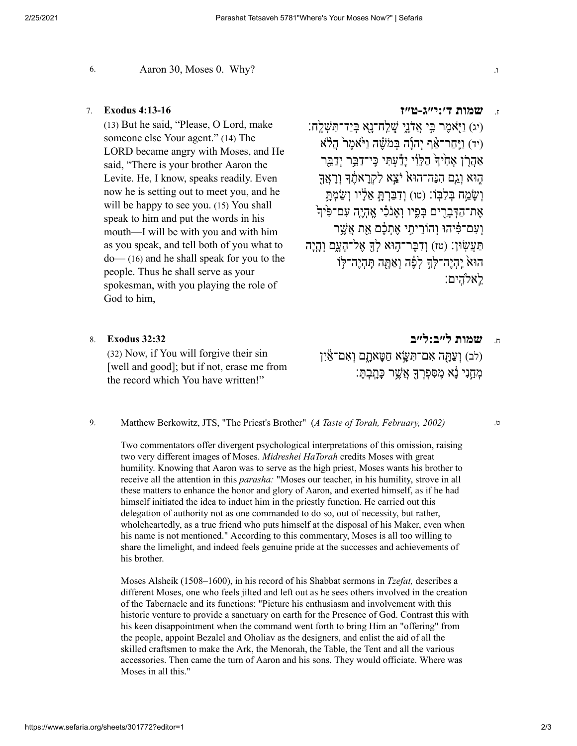6. Aaron 30, Moses 0. Why? .ו

(13) But he said, "Please, O Lord, make someone else Your agent." (14) The LORD became angry with Moses, and He said, "There is your brother Aaron the Levite. He, I know, speaks readily. Even now he is setting out to meet you, and he will be happy to see you. (15) You shall speak to him and put the words in his mouth—I will be with you and with him as you speak, and tell both of you what to do— (16) and he shall speak for you to the people. Thus he shall serve as your spokesman, with you playing the role of God to him,

ז. **שמות [ד׳:י״ג-ט״ז](https://www.sefaria.org/Exodus.4.13-16) 4:13-16 [Exodus](https://www.sefaria.org/Exodus.4.13-16)** 7.

(יג) וַיִּאמֶר בִּי אֲדָנִי שָׁלַח־נאָ בְּיַד־תִּשָׁלִח: (יד) וַיֵּחַר־אַף יְהוַד בְּמֹשֵׁה וַיֹּאמֶר הֲלֹא  $\gamma$ אֲהַרֹן אַחָי $\epsilon$  הַלְּוֹי ידָעֲתִּי כֵּי־דַבֵּר יִדַבֵּר ָהוּא וַגֶם הִנֶּה־הוּא יֹצֵא לְקְרַאתֶד וְרָאֲדֶ וְשַׂמַח בִּלְבָּוֹ: (טו) וְדָבַּרְהַּ אֱלַיו וְשַׂמְתַּ ְאֶת־הַדְּבַרִים בְּפֵיו וְאֲנֹלִי אֱהָיֶה עָם־פִּיּךְ ועם־פִּיהוּ וְהוֹרִיתֵי אֶתְכֶּם אֶת אֱשֶׁר ַתְּעֲשׂוּן: (טז) וְדָבֵּר־הוּא לִדְּ אֱל־הִעָּם וְהִיה הוּא יֶהְיֵה־לִּךְ לִפֶּ֫ה וְאַתַּה תֵּהִיֵּה־לִּוֹ ֵֽלא ִֽהים׃

(32) Now, if You will forgive their sin [well and good]; but if not, erase me from the record which You have written!"

ח. **שמות [ל״ב:ל״ב](https://www.sefaria.org/Exodus.32.32) 32:32 [Exodus](https://www.sefaria.org/Exodus.32.32)** 8.

(לב) וְעֲתָּה אָם־תִּשֵּׂא חַטַּאַתַם וְאָם־אֵין ָמְחֵנִי נַא מִסִפְרַךְ אֲשֵׁר כַּתֲבָתָּ׃

Matthew Berkowitz, JTS, "The Priest's Brother" (*A Taste of Torah, February, 2002)* ט. 9.

Two commentators offer divergent psychological interpretations of this omission, raising two very different images of Moses. *Midreshei HaTorah* credits Moses with great humility. Knowing that Aaron was to serve as the high priest, Moses wants his brother to receive all the attention in this *parasha:* "Moses our teacher, in his humility, strove in all these matters to enhance the honor and glory of Aaron, and exerted himself, as if he had himself initiated the idea to induct him in the priestly function. He carried out this delegation of authority not as one commanded to do so, out of necessity, but rather, wholeheartedly, as a true friend who puts himself at the disposal of his Maker, even when his name is not mentioned." According to this commentary, Moses is all too willing to share the limelight, and indeed feels genuine pride at the successes and achievements of his brother.

Moses Alsheik (1508–1600), in his record of his Shabbat sermons in *Tzefat,* describes a different Moses, one who feels jilted and left out as he sees others involved in the creation of the Tabernacle and its functions: "Picture his enthusiasm and involvement with this historic venture to provide a sanctuary on earth for the Presence of God. Contrast this with his keen disappointment when the command went forth to bring Him an "offering" from the people, appoint Bezalel and Oholiav as the designers, and enlist the aid of all the skilled craftsmen to make the Ark, the Menorah, the Table, the Tent and all the various accessories. Then came the turn of Aaron and his sons. They would officiate. Where was Moses in all this."